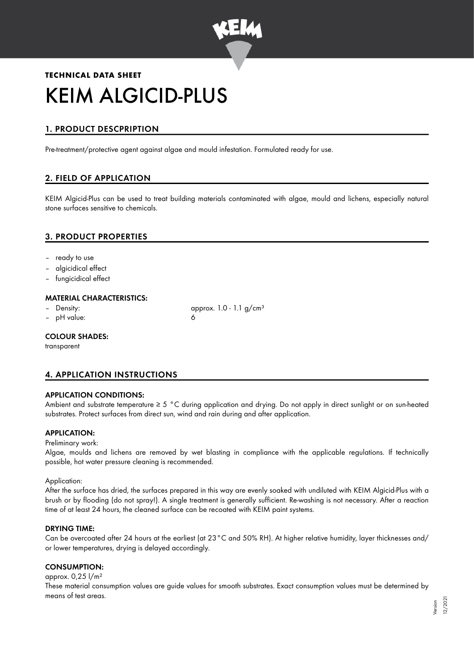

# **TECHNICAL DATA SHEET** KEIM ALGICID-PLUS

## 1. PRODUCT DESCPRIPTION

Pre-treatment/protective agent against algae and mould infestation. Formulated ready for use.

## 2. FIELD OF APPLICATION

KEIM Algicid-Plus can be used to treat building materials contaminated with algae, mould and lichens, especially natural stone surfaces sensitive to chemicals.

## 3. PRODUCT PROPERTIES

- ready to use
- algicidical effect
- fungicidical effect

#### MATERIAL CHARACTERISTICS:

- 
- pH value: 6

Density:  $\qquad \qquad \text{approx. 1.0 - 1.1 g/cm<sup>3</sup>}$ 

#### COLOUR SHADES:

transparent

## 4. APPLICATION INSTRUCTIONS

#### APPLICATION CONDITIONS:

Ambient and substrate temperature ≥ 5 °C during application and drying. Do not apply in direct sunlight or on sun-heated substrates. Protect surfaces from direct sun, wind and rain during and after application.

#### APPLICATION:

#### Preliminary work:

Algae, moulds and lichens are removed by wet blasting in compliance with the applicable regulations. If technically possible, hot water pressure cleaning is recommended.

#### Application:

After the surface has dried, the surfaces prepared in this way are evenly soaked with undiluted with KEIM Algicid-Plus with a brush or by flooding (do not spray!). A single treatment is generally sufficient. Re-washing is not necessary. After a reaction time of at least 24 hours, the cleaned surface can be recoated with KEIM paint systems.

#### DRYING TIME:

Can be overcoated after 24 hours at the earliest (at 23°C and 50% RH). At higher relative humidity, layer thicknesses and/ or lower temperatures, drying is delayed accordingly.

#### CONSUMPTION:

approx. 0,25 l/m²

These material consumption values are guide values for smooth substrates. Exact consumption values must be determined by means of test areas.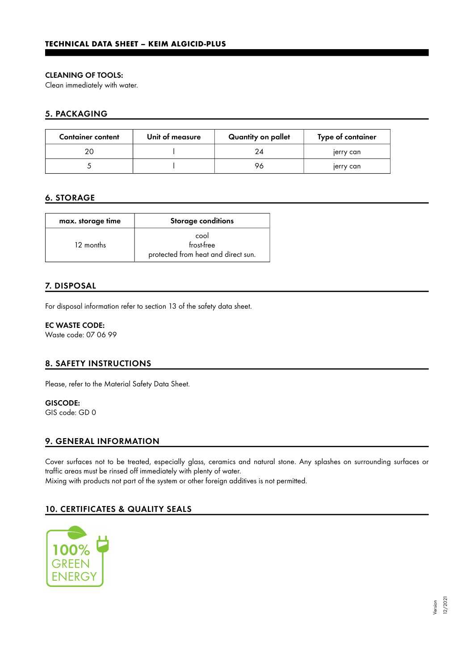#### CLEANING OF TOOLS:

Clean immediately with water.

### 5. PACKAGING

| <b>Container content</b> | Unit of measure | Quantity on pallet | Type of container |
|--------------------------|-----------------|--------------------|-------------------|
|                          |                 | 24                 | jerry can         |
|                          |                 | 96                 | jerry can         |

#### 6. STORAGE

| max. storage time | <b>Storage conditions</b>                                 |
|-------------------|-----------------------------------------------------------|
| 12 months         | cool<br>frost-free<br>protected from heat and direct sun. |

## 7. DISPOSAL

For disposal information refer to section 13 of the safety data sheet.

EC WASTE CODE: Waste code: 07 06 99

#### 8. SAFETY INSTRUCTIONS

Please, refer to the Material Safety Data Sheet.

GISCODE: GIS code: GD 0

#### 9. GENERAL INFORMATION

Cover surfaces not to be treated, especially glass, ceramics and natural stone. Any splashes on surrounding surfaces or traffic areas must be rinsed off immediately with plenty of water. Mixing with products not part of the system or other foreign additives is not permitted.

## 10. CERTIFICATES & QUALITY SEALS